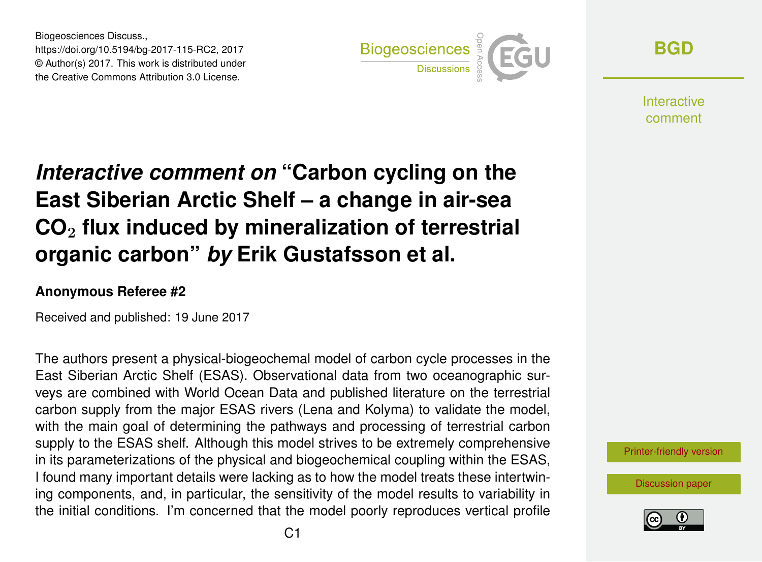Biogeosciences Discuss., https://doi.org/10.5194/bg-2017-115-RC2, 2017 © Author(s) 2017. This work is distributed under the Creative Commons Attribution 3.0 License.



**[BGD](http://www.biogeosciences-discuss.net/)**

**Interactive** comment

## *Interactive comment on* **"Carbon cycling on the East Siberian Arctic Shelf – a change in air-sea CO**<sup>2</sup> **flux induced by mineralization of terrestrial organic carbon"** *by* **Erik Gustafsson et al.**

## **Anonymous Referee #2**

Received and published: 19 June 2017

The authors present a physical-biogeochemal model of carbon cycle processes in the East Siberian Arctic Shelf (ESAS). Observational data from two oceanographic surveys are combined with World Ocean Data and published literature on the terrestrial carbon supply from the major ESAS rivers (Lena and Kolyma) to validate the model, with the main goal of determining the pathways and processing of terrestrial carbon supply to the ESAS shelf. Although this model strives to be extremely comprehensive in its parameterizations of the physical and biogeochemical coupling within the ESAS, I found many important details were lacking as to how the model treats these intertwining components, and, in particular, the sensitivity of the model results to variability in the initial conditions. I'm concerned that the model poorly reproduces vertical profile

[Printer-friendly version](http://www.biogeosciences-discuss.net/bg-2017-115/bg-2017-115-RC2-print.pdf)

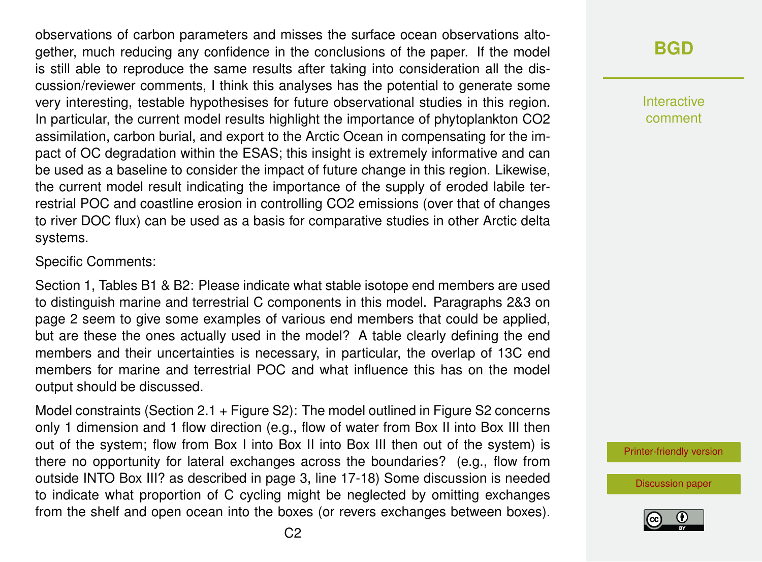observations of carbon parameters and misses the surface ocean observations altogether, much reducing any confidence in the conclusions of the paper. If the model is still able to reproduce the same results after taking into consideration all the discussion/reviewer comments, I think this analyses has the potential to generate some very interesting, testable hypothesises for future observational studies in this region. In particular, the current model results highlight the importance of phytoplankton CO2 assimilation, carbon burial, and export to the Arctic Ocean in compensating for the impact of OC degradation within the ESAS; this insight is extremely informative and can be used as a baseline to consider the impact of future change in this region. Likewise, the current model result indicating the importance of the supply of eroded labile terrestrial POC and coastline erosion in controlling CO2 emissions (over that of changes to river DOC flux) can be used as a basis for comparative studies in other Arctic delta systems.

Specific Comments:

Section 1, Tables B1 & B2: Please indicate what stable isotope end members are used to distinguish marine and terrestrial C components in this model. Paragraphs 2&3 on page 2 seem to give some examples of various end members that could be applied, but are these the ones actually used in the model? A table clearly defining the end members and their uncertainties is necessary, in particular, the overlap of 13C end members for marine and terrestrial POC and what influence this has on the model output should be discussed.

Model constraints (Section 2.1 + Figure S2): The model outlined in Figure S2 concerns only 1 dimension and 1 flow direction (e.g., flow of water from Box II into Box III then out of the system; flow from Box I into Box II into Box III then out of the system) is there no opportunity for lateral exchanges across the boundaries? (e.g., flow from outside INTO Box III? as described in page 3, line 17-18) Some discussion is needed to indicate what proportion of C cycling might be neglected by omitting exchanges from the shelf and open ocean into the boxes (or revers exchanges between boxes).

## **[BGD](http://www.biogeosciences-discuss.net/)**

Interactive comment

[Printer-friendly version](http://www.biogeosciences-discuss.net/bg-2017-115/bg-2017-115-RC2-print.pdf)

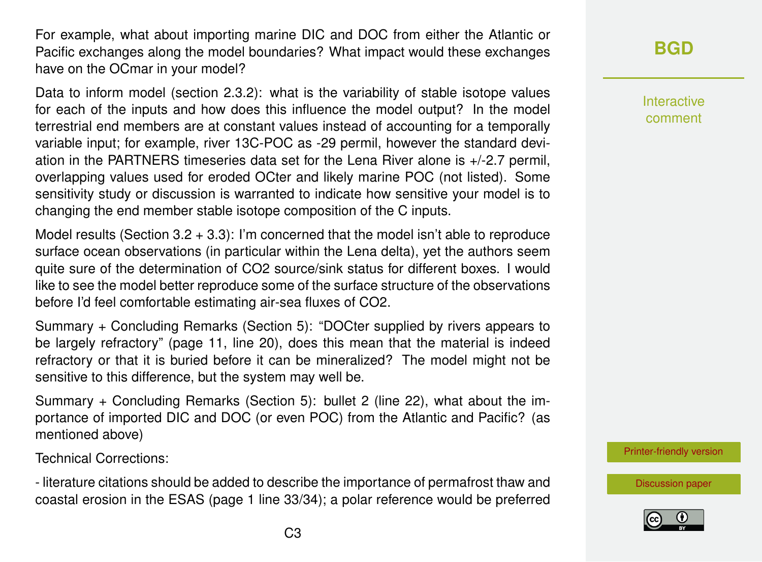For example, what about importing marine DIC and DOC from either the Atlantic or Pacific exchanges along the model boundaries? What impact would these exchanges have on the OCmar in your model?

Data to inform model (section 2.3.2): what is the variability of stable isotope values for each of the inputs and how does this influence the model output? In the model terrestrial end members are at constant values instead of accounting for a temporally variable input; for example, river 13C-POC as -29 permil, however the standard deviation in the PARTNERS timeseries data set for the Lena River alone is +/-2.7 permil, overlapping values used for eroded OCter and likely marine POC (not listed). Some sensitivity study or discussion is warranted to indicate how sensitive your model is to changing the end member stable isotope composition of the C inputs.

Model results (Section  $3.2 + 3.3$ ): I'm concerned that the model isn't able to reproduce surface ocean observations (in particular within the Lena delta), yet the authors seem quite sure of the determination of CO2 source/sink status for different boxes. I would like to see the model better reproduce some of the surface structure of the observations before I'd feel comfortable estimating air-sea fluxes of CO2.

Summary + Concluding Remarks (Section 5): "DOCter supplied by rivers appears to be largely refractory" (page 11, line 20), does this mean that the material is indeed refractory or that it is buried before it can be mineralized? The model might not be sensitive to this difference, but the system may well be.

Summary + Concluding Remarks (Section 5): bullet 2 (line 22), what about the importance of imported DIC and DOC (or even POC) from the Atlantic and Pacific? (as mentioned above)

Technical Corrections:

- literature citations should be added to describe the importance of permafrost thaw and coastal erosion in the ESAS (page 1 line 33/34); a polar reference would be preferred Interactive comment

[Printer-friendly version](http://www.biogeosciences-discuss.net/bg-2017-115/bg-2017-115-RC2-print.pdf)